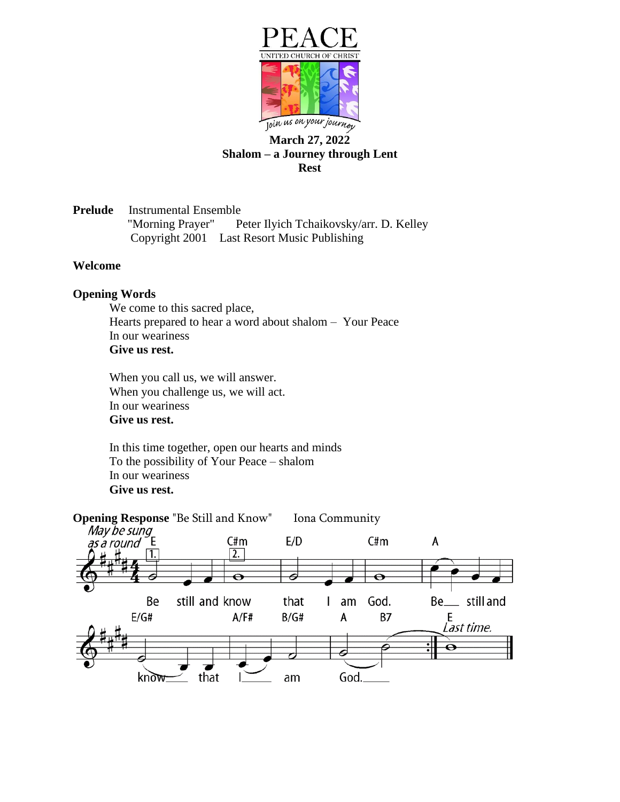

# **March 27, 2022 Shalom – a Journey through Lent Rest**

**Prelude** Instrumental Ensemble "Morning Prayer" Peter Ilyich Tchaikovsky/arr. D. Kelley Copyright 2001 Last Resort Music Publishing

### **Welcome**

### **Opening Words**

We come to this sacred place, Hearts prepared to hear a word about shalom – Your Peace In our weariness **Give us rest.**

When you call us, we will answer. When you challenge us, we will act. In our weariness **Give us rest.**

In this time together, open our hearts and minds To the possibility of Your Peace – shalom In our weariness **Give us rest.**

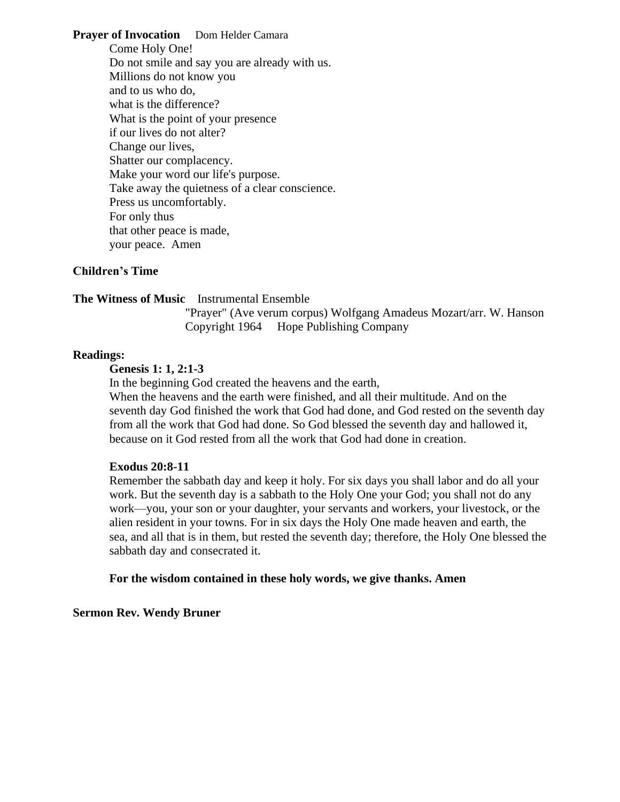**Prayer of Invocation** Dom Helder Camara Come Holy One! Do not smile and say you are already with us. Millions do not know you and to us who do, what is the difference? What is the point of your presence if our lives do not alter? Change our lives, Shatter our complacency. Make your word our life's purpose. Take away the quietness of a clear conscience. Press us uncomfortably. For only thus that other peace is made, your peace. Amen

### **Children's Time**

#### **The Witness of Music** Instrumental Ensemble

"Prayer" (Ave verum corpus) Wolfgang Amadeus Mozart/arr. W. Hanson Copyright 1964 Hope Publishing Company

#### **Readings:**

## **Genesis 1: 1, 2:1-3**

In the beginning God created the heavens and the earth,

When the heavens and the earth were finished, and all their multitude. And on the seventh day God finished the work that God had done, and God rested on the seventh day from all the work that God had done. So God blessed the seventh day and hallowed it, because on it God rested from all the work that God had done in creation.

#### **Exodus 20:8-11**

Remember the sabbath day and keep it holy. For six days you shall labor and do all your work. But the seventh day is a sabbath to the Holy One your God; you shall not do any work—you, your son or your daughter, your servants and workers, your livestock, or the alien resident in your towns. For in six days the Holy One made heaven and earth, the sea, and all that is in them, but rested the seventh day; therefore, the Holy One blessed the sabbath day and consecrated it.

#### **For the wisdom contained in these holy words, we give thanks. Amen**

## **Sermon Rev. Wendy Bruner**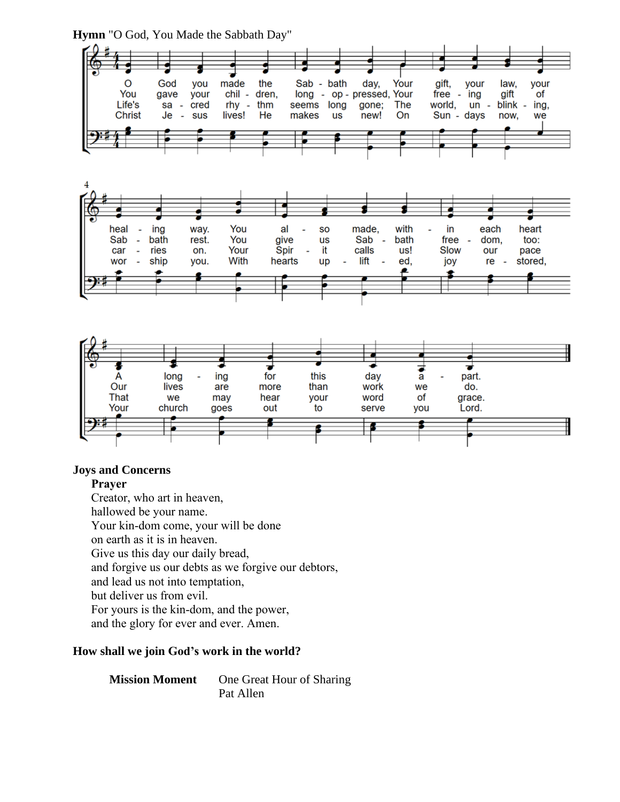$\overline{O}$ God you made the Sab - bath day, Your gift, your law. your You gave your chil - dren, long - op - pressed, Your free - ing gift of rhy Life's sa cred ÷. thm seems long gone; The world,  $un$ blink ing, Je Christ  $\sim$ sus lives! He makes **us** new! On Sun - days now, we ┵ ្ទុ You with ing way. made, in each heart heal al SO bath rest. You Sab bath free too: Sab give **us** dom, ä, ÷. ÷, Your car ries on. Spir it calls us! Slow our pace l, ÷, ship With lift joy wor  $\overline{\phantom{a}}$ you. hearts up Ĭ. ed, re stored, £ s £ ಕ ₹ . this part. long ing for day А a Our lives more than work we do. are That we may hear your word of grace. Your church out to serve you Lord. goes s ь ß

## **Hymn** "O God, You Made the Sabbath Day"

## **Joys and Concerns**

## **Prayer**

Creator, who art in heaven, hallowed be your name. Your kin-dom come, your will be done on earth as it is in heaven. Give us this day our daily bread, and forgive us our debts as we forgive our debtors, and lead us not into temptation, but deliver us from evil. For yours is the kin-dom, and the power, and the glory for ever and ever. Amen.

## **How shall we join God's work in the world?**

**Mission Moment** One Great Hour of Sharing Pat Allen